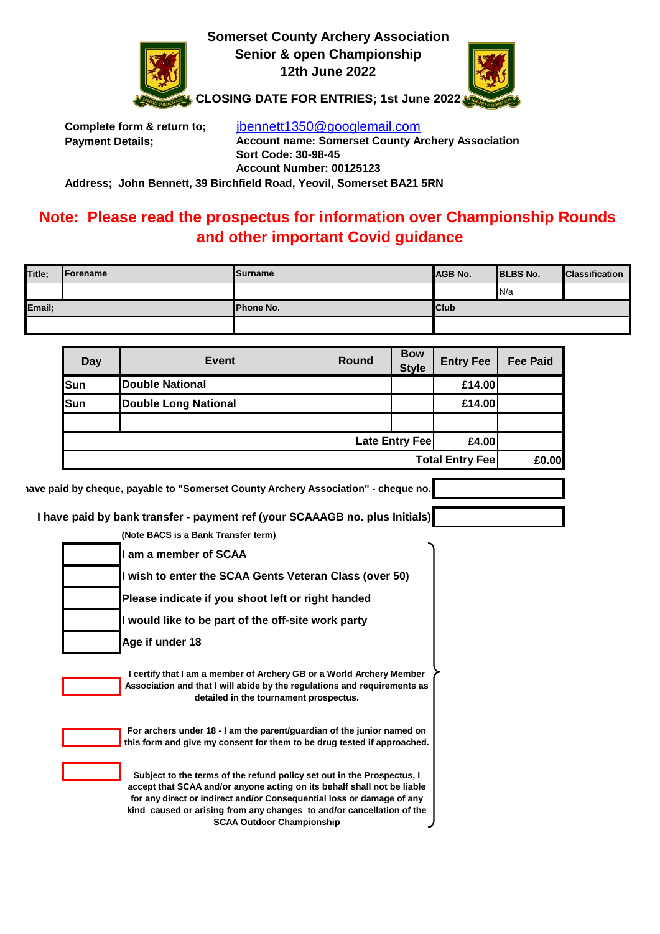

**Somerset County Archery Association Senior & open Championship 12th June 2022**



**CLOSING DATE FOR ENTRIES; 1st June 2022**

**Complete form & return to;** [jbennett1350@googlemail.com](mailto:jbennett1350@googlemail.com) **Payment Details; Account name: Somerset County Archery Association Sort Code: 30-98-45 Account Number: 00125123 Address; John Bennett, 39 Birchfield Road, Yeovil, Somerset BA21 5RN**

**Note: Please read the prospectus for information over Championship Rounds**

## **and other important Covid guidance**

| Title; | Forename | <b>Surname</b>   | <b>JAGB No.</b> | <b>BLBS No.</b> | <b>Classification</b> |
|--------|----------|------------------|-----------------|-----------------|-----------------------|
|        |          |                  |                 | N/a             |                       |
| Email; |          | <b>Phone No.</b> | <b>Club</b>     |                 |                       |
|        |          |                  |                 |                 |                       |

| Day                                                                                                                                                                                        | <b>Event</b>                                                                                                                                                                                                                                                                                                                            | Round                 | <b>Bow</b><br><b>Style</b> | <b>Entry Fee</b> | <b>Fee Paid</b> |  |  |  |
|--------------------------------------------------------------------------------------------------------------------------------------------------------------------------------------------|-----------------------------------------------------------------------------------------------------------------------------------------------------------------------------------------------------------------------------------------------------------------------------------------------------------------------------------------|-----------------------|----------------------------|------------------|-----------------|--|--|--|
| Sun                                                                                                                                                                                        | <b>Double National</b>                                                                                                                                                                                                                                                                                                                  |                       |                            | £14.00           |                 |  |  |  |
| Sun                                                                                                                                                                                        | <b>Double Long National</b>                                                                                                                                                                                                                                                                                                             |                       |                            | £14.00           |                 |  |  |  |
|                                                                                                                                                                                            |                                                                                                                                                                                                                                                                                                                                         |                       |                            |                  |                 |  |  |  |
|                                                                                                                                                                                            |                                                                                                                                                                                                                                                                                                                                         | <b>Late Entry Fee</b> | £4.00                      |                  |                 |  |  |  |
|                                                                                                                                                                                            | <b>Total Entry Fee</b>                                                                                                                                                                                                                                                                                                                  |                       |                            |                  |                 |  |  |  |
|                                                                                                                                                                                            | iave paid by cheque, payable to "Somerset County Archery Association" - cheque no.                                                                                                                                                                                                                                                      |                       |                            |                  |                 |  |  |  |
|                                                                                                                                                                                            |                                                                                                                                                                                                                                                                                                                                         |                       |                            |                  |                 |  |  |  |
|                                                                                                                                                                                            | I have paid by bank transfer - payment ref (your SCAAAGB no. plus Initials)                                                                                                                                                                                                                                                             |                       |                            |                  |                 |  |  |  |
|                                                                                                                                                                                            | (Note BACS is a Bank Transfer term)                                                                                                                                                                                                                                                                                                     |                       |                            |                  |                 |  |  |  |
|                                                                                                                                                                                            | I am a member of SCAA<br>I wish to enter the SCAA Gents Veteran Class (over 50)<br>Please indicate if you shoot left or right handed                                                                                                                                                                                                    |                       |                            |                  |                 |  |  |  |
|                                                                                                                                                                                            |                                                                                                                                                                                                                                                                                                                                         |                       |                            |                  |                 |  |  |  |
|                                                                                                                                                                                            |                                                                                                                                                                                                                                                                                                                                         |                       |                            |                  |                 |  |  |  |
|                                                                                                                                                                                            | I would like to be part of the off-site work party                                                                                                                                                                                                                                                                                      |                       |                            |                  |                 |  |  |  |
|                                                                                                                                                                                            | Age if under 18                                                                                                                                                                                                                                                                                                                         |                       |                            |                  |                 |  |  |  |
| I certify that I am a member of Archery GB or a World Archery Member<br>Association and that I will abide by the regulations and requirements as<br>detailed in the tournament prospectus. |                                                                                                                                                                                                                                                                                                                                         |                       |                            |                  |                 |  |  |  |
|                                                                                                                                                                                            | For archers under 18 - I am the parent/guardian of the junior named on<br>this form and give my consent for them to be drug tested if approached.                                                                                                                                                                                       |                       |                            |                  |                 |  |  |  |
|                                                                                                                                                                                            | Subject to the terms of the refund policy set out in the Prospectus, I<br>accept that SCAA and/or anyone acting on its behalf shall not be liable<br>for any direct or indirect and/or Consequential loss or damage of any<br>kind caused or arising from any changes to and/or cancellation of the<br><b>SCAA Outdoor Championship</b> |                       |                            |                  |                 |  |  |  |